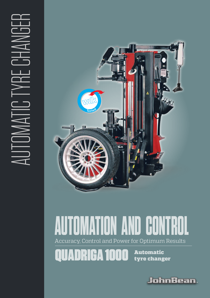

# Accuracy, Control and Power for Optimum Results R<sub>IC</sub> **AUTOMATION AND CONTROL**

Automatic tyre changer

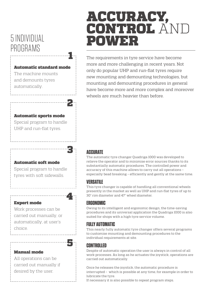## 5 INDIVIDUAL PROGRAMS

### Automatic standard mode

1

2

3

4

The machine mounts and demounts tyres automatically.

### Automatic sports mode

Special program to handle UHP and run-flat tyres.

### Automatic soft mode

Special program to handle tyres with soft sidewalls.

Work processes can be carried out manually, or automatically, at user's choice.



### Manual mode

Expert mode

All operations can be carried out manually if desired by the user.

# ACCURACY, CONTROL AND POWER

The requirements in tyre service have become more and more challenging in recent years. Not only do popular UHP and run-flat tyres require new mounting and demounting technologies, but mounting and demounting procedures in general have become more and more complex and moreover wheels are much heavier than before.

### **ACCURATE**

The automatic tyre changer Quadriga 1000 was developed to relieve the operator and to minimise error sources thanks to its substantially automatic procedures. The controlled power and accuracy of this machine allows to carry out all operations – especially bead breaking – efficiently and gently at the same time.

### **VERSATILE**

This tyre changer is capable of handling all conventional wheels presently in the market as well as UHP and run-flat tyres of up to 30" rim diameter and 47" wheel diameter.

### **ERGONOMIC**

Owing to its intelligent and ergonomic design, the time-saving procedures and its universal application the Quadriga 1000 is also suited for shops with a high tyre service volume.

### **FULLY AUTOMATIC**

This nearly fully automatic tyre changer offers several programs to customise mounting and demounting procedures to the individual requirements at site.

### **CONTROLLED**

Despite of automatic operation the user is always in control of all work processes. As long as he actuates the joystick, operations are carried out automatically.

Once he releases the joystick, the automatic procedure is interrupted – which is possible at any time, for example in order to lubricate the tyre.

If necessary it is also possible to repeat program steps.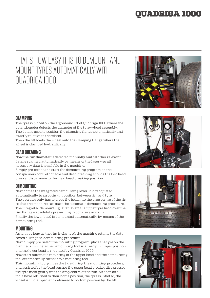### QUADRIGA 1000

## THAT'S HOW EASY IT IS TO DEMOUNT AND MOUNT TYRES AUTOMATICALLY WITH QUADRIGA 1000



### **CLAMPING**

The tyre is placed on the ergonomic lift of Quadriga 1000 where the potentiometer detects the diameter of the tyre/wheel assembly. The data is used to position the clamping flange automatically and exactly relative to the wheel.

Then the lift loads the wheel onto the clamping flange where the wheel is clamped hydraulically.

### **BEAD BREAKING**

Now the rim diameter is detected manually and all other relevant data is scanned automatically by means of the laser – so all necessary data is available in the machine.

Simply pre-select and start the demounting program on the conspicuous control console and Bead breaking at once the two bead breaker discs move to the ideal bead breaking position.

### **DEMOUNTING**

Next comes the integrated demounting lever. It is readjusted automatically to an optimum position between rim and tyre. The operator only has to press the bead into the drop centre of the rim so that the machine can start the automatic demounting procedure. The integrated demounting lever levers the upper tyre bead over the rim flange – absolutely preserving to both tyre and rim. Finally the lower bead is demounted automatically by means of the demounting tool.

### **MOUNTING**

As long as long as the rim is clamped, the machine retains the data saved during the demounting procedure.

Next simply pre-select the mounting program, place the tyre on the clamped rim where the demounting tool is already in proper position and the lower bead is mounted by Quadriga 1000.

Now start automatic mounting of the upper bead and the demounting tool automatically turns into a mounting tool.

This mounting tool guides the tyre during the mounting procedure, and assisted by the bead pusher the upper bead breaker disc presses the tyre most gently into the drop centre of the rim. As soon as all tools have returned to their home position, the tyre is inflated, the wheel is unclamped and delivered to bottom position by the lift.